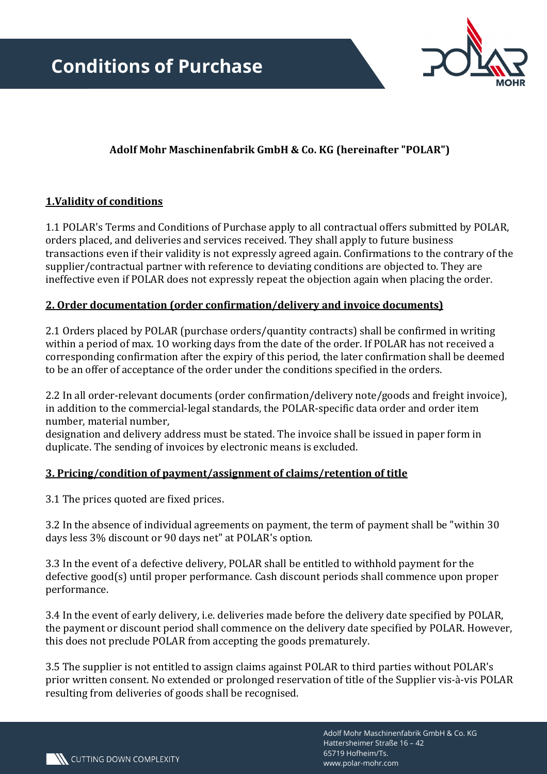

# **Adolf Mohr Maschinenfabrik GmbH & Co. KG (hereinafter "POLAR")**

# **1.Validity of conditions**

1.1 POLAR's Terms and Conditions of Purchase apply to all contractual offers submitted by POLAR, orders placed, and deliveries and services received. They shall apply to future business transactions even if their validity is not expressly agreed again. Confirmations to the contrary of the supplier/contractual partner with reference to deviating conditions are objected to. They are ineffective even if POLAR does not expressly repeat the objection again when placing the order.

# **2. Order documentation (order confirmation/delivery and invoice documents)**

2.1 Orders placed by POLAR (purchase orders/quantity contracts) shall be confirmed in writing within a period of max. 1O working days from the date of the order. If POLAR has not received a corresponding confirmation after the expiry of this period, the later confirmation shall be deemed to be an offer of acceptance of the order under the conditions specified in the orders.

2.2 In all order-relevant documents (order confirmation/delivery note/goods and freight invoice), in addition to the commercial-legal standards, the POLAR-specific data order and order item number, material number,

designation and delivery address must be stated. The invoice shall be issued in paper form in duplicate. The sending of invoices by electronic means is excluded.

#### **3. Pricing/condition of payment/assignment of claims/retention of title**

3.1 The prices quoted are fixed prices.

3.2 In the absence of individual agreements on payment, the term of payment shall be "within 30 days less 3% discount or 90 days net" at POLAR's option.

3.3 In the event of a defective delivery, POLAR shall be entitled to withhold payment for the defective good(s) until proper performance. Cash discount periods shall commence upon proper performance.

3.4 In the event of early delivery, i.e. deliveries made before the delivery date specified by POLAR, the payment or discount period shall commence on the delivery date specified by POLAR. However, this does not preclude POLAR from accepting the goods prematurely.

3.5 The supplier is not entitled to assign claims against POLAR to third parties without POLAR's prior written consent. No extended or prolonged reservation of title of the Supplier vis-à-vis POLAR resulting from deliveries of goods shall be recognised.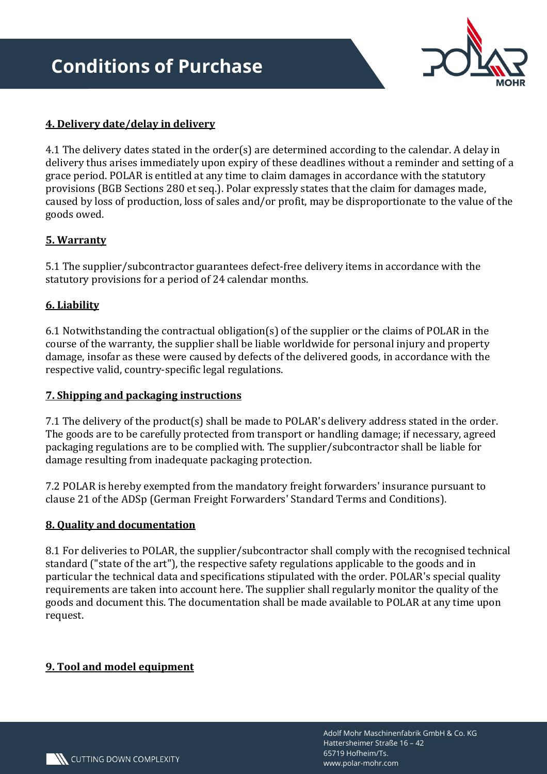

# **4. Delivery date/delay in delivery**

4.1 The delivery dates stated in the order(s) are determined according to the calendar. A delay in delivery thus arises immediately upon expiry of these deadlines without a reminder and setting of a grace period. POLAR is entitled at any time to claim damages in accordance with the statutory provisions (BGB Sections 280 et seq.). Polar expressly states that the claim for damages made, caused by loss of production, loss of sales and/or profit, may be disproportionate to the value of the goods owed.

# **5. Warranty**

5.1 The supplier/subcontractor guarantees defect-free delivery items in accordance with the statutory provisions for a period of 24 calendar months.

# **6. Liability**

6.1 Notwithstanding the contractual obligation(s) of the supplier or the claims of POLAR in the course of the warranty, the supplier shall be liable worldwide for personal injury and property damage, insofar as these were caused by defects of the delivered goods, in accordance with the respective valid, country-specific legal regulations.

#### **7. Shipping and packaging instructions**

7.1 The delivery of the product(s) shall be made to POLAR's delivery address stated in the order. The goods are to be carefully protected from transport or handling damage; if necessary, agreed packaging regulations are to be complied with. The supplier/subcontractor shall be liable for damage resulting from inadequate packaging protection.

7.2 POLAR is hereby exempted from the mandatory freight forwarders' insurance pursuant to clause 21 of the ADSp (German Freight Forwarders' Standard Terms and Conditions).

#### **8. Quality and documentation**

8.1 For deliveries to POLAR, the supplier/subcontractor shall comply with the recognised technical standard ("state of the art"), the respective safety regulations applicable to the goods and in particular the technical data and specifications stipulated with the order. POLAR's special quality requirements are taken into account here. The supplier shall regularly monitor the quality of the goods and document this. The documentation shall be made available to POLAR at any time upon request.

#### **9. Tool and model equipment**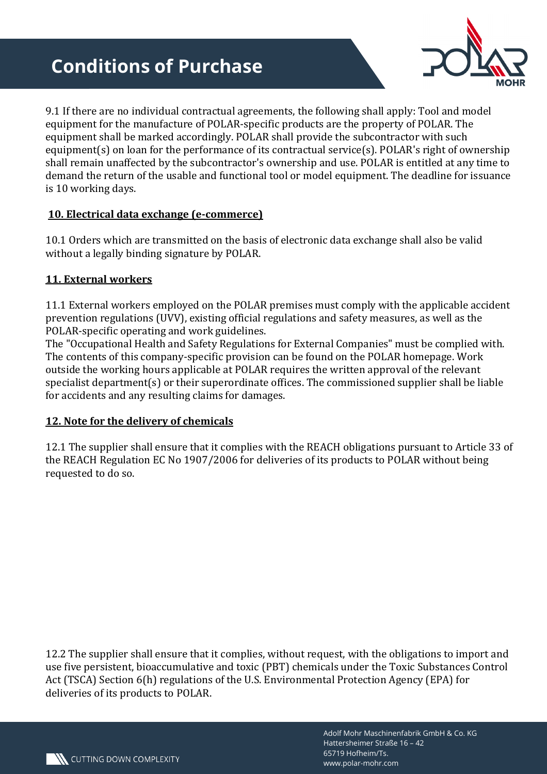# **Conditions of Purchase**



9.1 If there are no individual contractual agreements, the following shall apply: Tool and model equipment for the manufacture of POLAR-specific products are the property of POLAR. The equipment shall be marked accordingly. POLAR shall provide the subcontractor with such equipment(s) on loan for the performance of its contractual service(s). POLAR's right of ownership shall remain unaffected by the subcontractor's ownership and use. POLAR is entitled at any time to demand the return of the usable and functional tool or model equipment. The deadline for issuance is 10 working days.

# **10. Electrical data exchange (e-commerce)**

10.1 Orders which are transmitted on the basis of electronic data exchange shall also be valid without a legally binding signature by POLAR.

# **11. External workers**

11.1 External workers employed on the POLAR premises must comply with the applicable accident prevention regulations (UVV), existing official regulations and safety measures, as well as the POLAR-specific operating and work guidelines.

The "Occupational Health and Safety Regulations for External Companies" must be complied with. The contents of this company-specific provision can be found on the POLAR homepage. Work outside the working hours applicable at POLAR requires the written approval of the relevant specialist department(s) or their superordinate offices. The commissioned supplier shall be liable for accidents and any resulting claims for damages.

#### **12. Note for the delivery of chemicals**

12.1 The supplier shall ensure that it complies with the REACH obligations pursuant to Article 33 of the REACH Regulation EC No 1907/2006 for deliveries of its products to POLAR without being requested to do so.

12.2 The supplier shall ensure that it complies, without request, with the obligations to import and use five persistent, bioaccumulative and toxic (PBT) chemicals under the Toxic Substances Control Act (TSCA) Section 6(h) regulations of the U.S. Environmental Protection Agency (EPA) for deliveries of its products to POLAR.